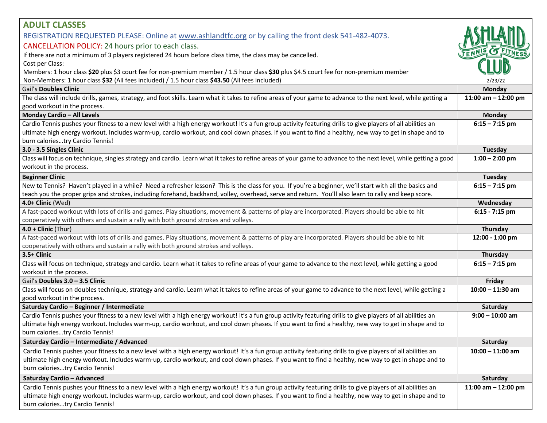| <b>ADULT CLASSES</b><br>REGISTRATION REQUESTED PLEASE: Online at www.ashlandtfc.org or by calling the front desk 541-482-4073.<br>CANCELLATION POLICY: 24 hours prior to each class.                                                                                                                                                                                       |                       |
|----------------------------------------------------------------------------------------------------------------------------------------------------------------------------------------------------------------------------------------------------------------------------------------------------------------------------------------------------------------------------|-----------------------|
| If there are not a minimum of 3 players registered 24 hours before class time, the class may be cancelled.<br>Cost per Class:<br>Members: 1 hour class \$20 plus \$3 court fee for non-premium member / 1.5 hour class \$30 plus \$4.5 court fee for non-premium member<br>Non-Members: 1 hour class \$32 (All fees included) / 1.5 hour class \$43.50 (All fees included) | 2/23/22               |
| Gail's Doubles Clinic                                                                                                                                                                                                                                                                                                                                                      | Monday                |
| The class will include drills, games, strategy, and foot skills. Learn what it takes to refine areas of your game to advance to the next level, while getting a<br>good workout in the process.                                                                                                                                                                            | 11:00 am $-$ 12:00 pm |
| Monday Cardio - All Levels                                                                                                                                                                                                                                                                                                                                                 | Monday                |
| Cardio Tennis pushes your fitness to a new level with a high energy workout! It's a fun group activity featuring drills to give players of all abilities an<br>ultimate high energy workout. Includes warm-up, cardio workout, and cool down phases. If you want to find a healthy, new way to get in shape and to<br>burn caloriestry Cardio Tennis!                      | $6:15 - 7:15$ pm      |
| 3.0 - 3.5 Singles Clinic                                                                                                                                                                                                                                                                                                                                                   | Tuesday               |
| Class will focus on technique, singles strategy and cardio. Learn what it takes to refine areas of your game to advance to the next level, while getting a good<br>workout in the process.                                                                                                                                                                                 | $1:00 - 2:00$ pm      |
| <b>Beginner Clinic</b>                                                                                                                                                                                                                                                                                                                                                     | Tuesday               |
| New to Tennis? Haven't played in a while? Need a refresher lesson? This is the class for you. If you're a beginner, we'll start with all the basics and<br>teach you the proper grips and strokes, including forehand, backhand, volley, overhead, serve and return. You'll also learn to rally and keep score.                                                            | $6:15 - 7:15$ pm      |
| 4.0+ Clinic (Wed)                                                                                                                                                                                                                                                                                                                                                          | Wednesday             |
| A fast-paced workout with lots of drills and games. Play situations, movement & patterns of play are incorporated. Players should be able to hit<br>cooperatively with others and sustain a rally with both ground strokes and volleys.                                                                                                                                    | $6:15 - 7:15$ pm      |
| $4.0 +$ Clinic (Thur)                                                                                                                                                                                                                                                                                                                                                      | Thursday              |
| A fast-paced workout with lots of drills and games. Play situations, movement & patterns of play are incorporated. Players should be able to hit<br>cooperatively with others and sustain a rally with both ground strokes and volleys.                                                                                                                                    | 12:00 - 1:00 pm       |
| 3.5+ Clinic                                                                                                                                                                                                                                                                                                                                                                | Thursday              |
| Class will focus on technique, strategy and cardio. Learn what it takes to refine areas of your game to advance to the next level, while getting a good<br>workout in the process.                                                                                                                                                                                         | $6:15 - 7:15$ pm      |
| Gail's Doubles 3.0 - 3.5 Clinic                                                                                                                                                                                                                                                                                                                                            | Friday                |
| Class will focus on doubles technique, strategy and cardio. Learn what it takes to refine areas of your game to advance to the next level, while getting a<br>good workout in the process.                                                                                                                                                                                 | $10:00 - 11:30$ am    |
| Saturday Cardio - Beginner / Intermediate                                                                                                                                                                                                                                                                                                                                  | Saturday              |
| Cardio Tennis pushes your fitness to a new level with a high energy workout! It's a fun group activity featuring drills to give players of all abilities an<br>ultimate high energy workout. Includes warm-up, cardio workout, and cool down phases. If you want to find a healthy, new way to get in shape and to<br>burn caloriestry Cardio Tennis!                      | $9:00 - 10:00$ am     |
| Saturday Cardio - Intermediate / Advanced                                                                                                                                                                                                                                                                                                                                  | Saturday              |
| Cardio Tennis pushes your fitness to a new level with a high energy workout! It's a fun group activity featuring drills to give players of all abilities an<br>ultimate high energy workout. Includes warm-up, cardio workout, and cool down phases. If you want to find a healthy, new way to get in shape and to<br>burn caloriestry Cardio Tennis!                      | $10:00 - 11:00$ am    |
| Saturday Cardio - Advanced                                                                                                                                                                                                                                                                                                                                                 | Saturday              |
| Cardio Tennis pushes your fitness to a new level with a high energy workout! It's a fun group activity featuring drills to give players of all abilities an<br>ultimate high energy workout. Includes warm-up, cardio workout, and cool down phases. If you want to find a healthy, new way to get in shape and to<br>burn caloriestry Cardio Tennis!                      | 11:00 am $-$ 12:00 pm |